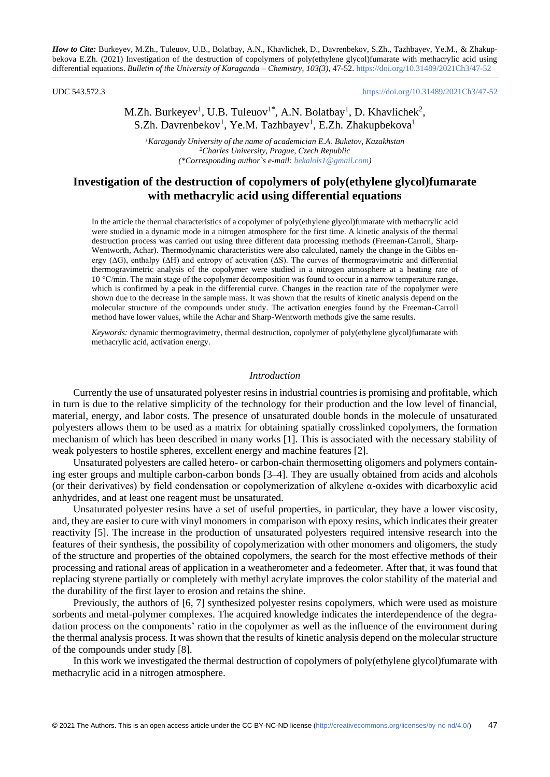UDC 543.572.3 <https://doi.org/10.31489/2021Ch3/47-52>

# M.Zh. Burkeyev<sup>1</sup>, U.B. Tuleuov<sup>1\*</sup>, A.N. Bolatbay<sup>1</sup>, D. Khavlichek<sup>2</sup>, S.Zh. Davrenbekov<sup>1</sup>, Ye.M. Tazhbayev<sup>1</sup>, E.Zh. Zhakupbekova<sup>1</sup>

*<sup>1</sup>Karagandy University of the name of academician E.A. Buketov, Kazakhstan <sup>2</sup>Charles University, Prague, Czech Republic (\*Corresponding author`s e-mail[: bekalols1@gmail.com\)](mailto:bekalols1@gmail.com)*

## **Investigation of the destruction of copolymers of poly(ethylene glycol)fumarate with methacrylic acid using differential equations**

In the article the thermal characteristics of a copolymer of poly(ethylene glycol)fumarate with methacrylic acid were studied in a dynamic mode in a nitrogen atmosphere for the first time. A kinetic analysis of the thermal destruction process was carried out using three different data processing methods (Freeman-Carroll, Sharp-Wentworth, Achar). Thermodynamic characteristics were also calculated, namely the change in the Gibbs energy (∆G), enthalpy (∆H) and entropy of activation (∆S). The curves of thermogravimetric and differential thermogravimetric analysis of the copolymer were studied in a nitrogen atmosphere at a heating rate of 10 °C/min. The main stage of the copolymer decomposition was found to occur in a narrow temperature range, which is confirmed by a peak in the differential curve. Changes in the reaction rate of the copolymer were shown due to the decrease in the sample mass. It was shown that the results of kinetic analysis depend on the molecular structure of the compounds under study. The activation energies found by the Freeman-Carroll method have lower values, while the Achar and Sharp-Wentworth methods give the same results.

*Keywords:* dynamic thermogravimetry, thermal destruction, copolymer of poly(ethylene glycol)fumarate with methacrylic acid, activation energy.

### *Introduction*

Currently the use of unsaturated polyester resins in industrial countries is promising and profitable, which in turn is due to the relative simplicity of the technology for their production and the low level of financial, material, energy, and labor costs. The presence of unsaturated double bonds in the molecule of unsaturated polyesters allows them to be used as a matrix for obtaining spatially crosslinked copolymers, the formation mechanism of which has been described in many works [1]. This is associated with the necessary stability of weak polyesters to hostile spheres, excellent energy and machine features [2].

Unsaturated polyesters are called hetero- or carbon-chain thermosetting oligomers and polymers containing ester groups and multiple carbon-carbon bonds [3–4]. They are usually obtained from acids and alcohols (or their derivatives) by field condensation or copolymerization of alkylene α-oxides with dicarboxylic acid anhydrides, and at least one reagent must be unsaturated.

Unsaturated polyester resins have a set of useful properties, in particular, they have a lower viscosity, and, they are easier to cure with vinyl monomers in comparison with epoxy resins, which indicates their greater reactivity [5]. The increase in the production of unsaturated polyesters required intensive research into the features of their synthesis, the possibility of copolymerization with other monomers and oligomers, the study of the structure and properties of the obtained copolymers, the search for the most effective methods of their processing and rational areas of application in a weatherometer and a fedeometer. After that, it was found that replacing styrene partially or completely with methyl acrylate improves the color stability of the material and the durability of the first layer to erosion and retains the shine.

Previously, the authors of [6, 7] synthesized polyester resins copolymers, which were used as moisture sorbents and metal-polymer complexes. The acquired knowledge indicates the interdependence of the degradation process on the components' ratio in the copolymer as well as the influence of the environment during the thermal analysis process. It was shown that the results of kinetic analysis depend on the molecular structure of the compounds under study [8].

In this work we investigated the thermal destruction of copolymers of poly(ethylene glycol)fumarate with methacrylic acid in a nitrogen atmosphere.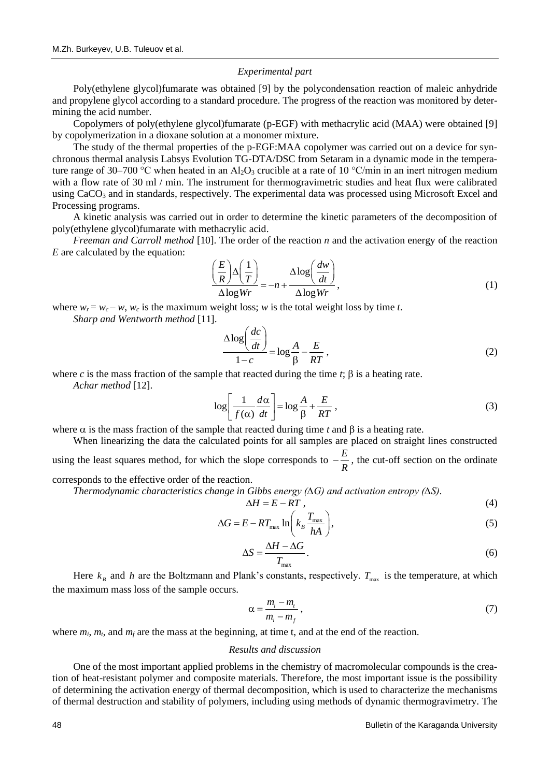### *Experimental part*

Poly(ethylene glycol)fumarate was obtained [9] by the polycondensation reaction of maleic anhydride and propylene glycol according to a standard procedure. The progress of the reaction was monitored by determining the acid number.

Copolymers of poly(ethylene glycol)fumarate (p-EGF) with methacrylic acid (MAA) were obtained [9] by copolymerization in a dioxane solution at a monomer mixture.

The study of the thermal properties of the p-EGF:MAA copolymer was carried out on a device for synchronous thermal analysis Labsys Evolution TG-DTA/DSC from Setaram in a dynamic mode in the temperature range of 30–700 °C when heated in an Al<sub>2</sub>O<sub>3</sub> crucible at a rate of 10 °C/min in an inert nitrogen medium with a flow rate of 30 ml / min. The instrument for thermogravimetric studies and heat flux were calibrated using CaCO<sub>3</sub> and in standards, respectively. The experimental data was processed using Microsoft Excel and Processing programs.

A kinetic analysis was carried out in order to determine the kinetic parameters of the decomposition of poly(ethylene glycol)fumarate with methacrylic acid.

*Freeman and Carroll method* [10]. The order of the reaction *n* and the activation energy of the reaction *E* are calculated by the equation:

$$
\frac{\left(\frac{E}{R}\right)\Delta\left(\frac{1}{T}\right)}{\Delta\log Wr} = -n + \frac{\Delta\log\left(\frac{dw}{dt}\right)}{\Delta\log Wr},\tag{1}
$$

where  $w_r = w_c - w$ ,  $w_c$  is the maximum weight loss; *w* is the total weight loss by time *t*.

*Sharp and Wentworth method* [11].

$$
\frac{\Delta \log \left(\frac{dc}{dt}\right)}{1-c} = \log \frac{A}{\beta} - \frac{E}{RT},\tag{2}
$$

where *c* is the mass fraction of the sample that reacted during the time  $t$ ;  $\beta$  is a heating rate.

*Achar method* [12].

$$
\log \left[ \frac{1}{f(\alpha)} \frac{d\alpha}{dt} \right] = \log \frac{A}{\beta} + \frac{E}{RT},
$$
\n(3)

where  $\alpha$  is the mass fraction of the sample that reacted during time *t* and  $\beta$  is a heating rate.

When linearizing the data the calculated points for all samples are placed on straight lines constructed using the least squares method, for which the slope corresponds to  $-\frac{E}{I}$ *R*  $-\frac{E}{\epsilon}$ , the cut-off section on the ordinate

corresponds to the effective order of the reaction.

*Thermodynamic characteristics change in Gibbs energy (∆G) and activation entropy (∆S).*

$$
\Delta H = E - RT \,, \tag{4}
$$

$$
\Delta G = E - RT_{\text{max}} \ln \left( k_B \frac{T_{\text{max}}}{hA} \right),\tag{5}
$$

$$
\Delta S = \frac{\Delta H - \Delta G}{T_{\text{max}}}.
$$
\n(6)

Here  $k_B$  and h are the Boltzmann and Plank's constants, respectively.  $T_{\text{max}}$  is the temperature, at which the maximum mass loss of the sample occurs.

$$
\alpha = \frac{m_i - m_i}{m_i - m_f},\tag{7}
$$

where  $m_i$ ,  $m_f$ , and  $m_f$  are the mass at the beginning, at time t, and at the end of the reaction.

#### *Results and discussion*

One of the most important applied problems in the chemistry of macromolecular compounds is the creation of heat-resistant polymer and composite materials. Therefore, the most important issue is the possibility of determining the activation energy of thermal decomposition, which is used to characterize the mechanisms of thermal destruction and stability of polymers, including using methods of dynamic thermogravimetry. The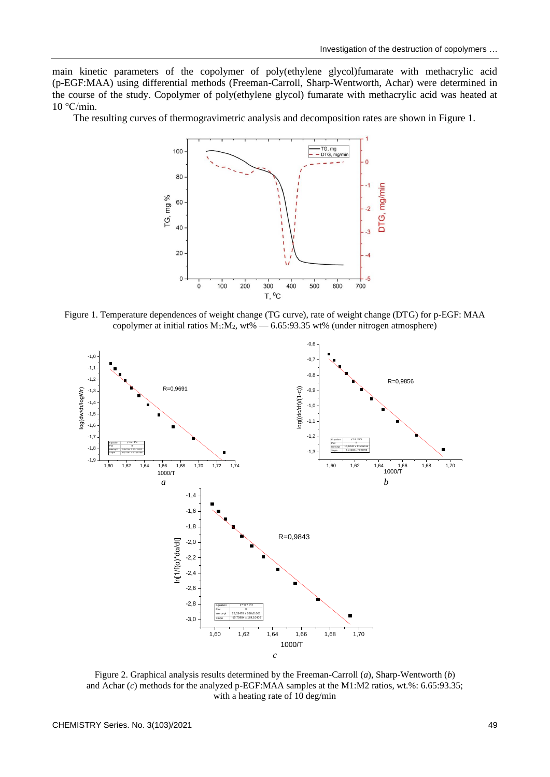main kinetic parameters of the copolymer of poly(ethylene glycol)fumarate with methacrylic acid (p-EGF:MAA) using differential methods (Freeman-Carroll, Sharp-Wentworth, Achar) were determined in the course of the study. Copolymer of poly(ethylene glycol) fumarate with methacrylic acid was heated at 10 °C/min.

The resulting curves of thermogravimetric analysis and decomposition rates are shown in Figure 1.



Figure 1. Temperature dependences of weight change (TG curve), rate of weight change (DTG) for p-EGF: MAA copolymer at initial ratios  $M_1:M_2$ , wt% — 6.65:93.35 wt% (under nitrogen atmosphere)



Figure 2. Graphical analysis results determined by the Freeman-Carroll (*a*), Sharp-Wentworth (*b*) and Achar (*c*) methods for the analyzed p-EGF:MAA samples at the M1:M2 ratios, wt.%: 6.65:93.35; with a heating rate of 10 deg/min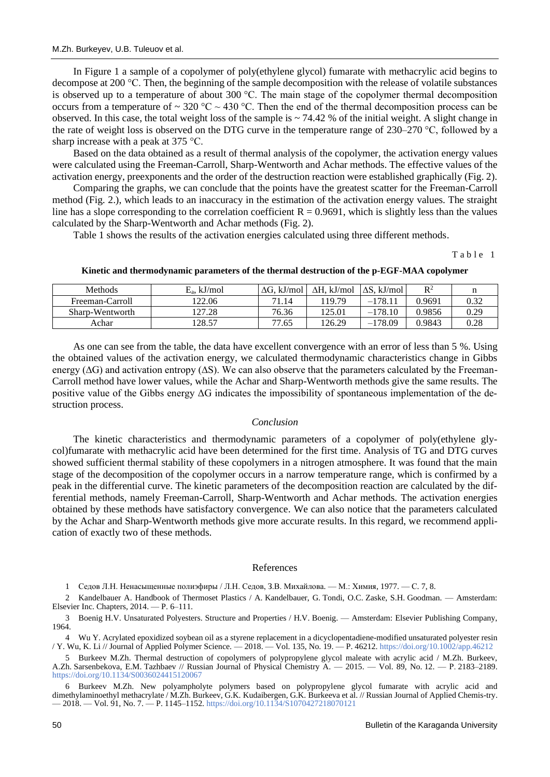In Figure 1 a sample of a copolymer of poly(ethylene glycol) fumarate with methacrylic acid begins to decompose at 200 °C. Then, the beginning of the sample decomposition with the release of volatile substances is observed up to a temperature of about 300 °C. The main stage of the copolymer thermal decomposition occurs from a temperature of  $\sim 320 \text{ °C} \sim 430 \text{ °C}$ . Then the end of the thermal decomposition process can be observed. In this case, the total weight loss of the sample is  $\sim$  74.42 % of the initial weight. A slight change in the rate of weight loss is observed on the DTG curve in the temperature range of 230–270 °С, followed by a sharp increase with a peak at 375 °C.

Based on the data obtained as a result of thermal analysis of the copolymer, the activation energy values were calculated using the Freeman-Carroll, Sharp-Wentworth and Achar methods. The effective values of the activation energy, preexponents and the order of the destruction reaction were established graphically (Fig. 2).

Comparing the graphs, we can conclude that the points have the greatest scatter for the Freeman-Carroll method (Fig. 2.), which leads to an inaccuracy in the estimation of the activation energy values. The straight line has a slope corresponding to the correlation coefficient  $R = 0.9691$ , which is slightly less than the values calculated by the Sharp-Wentworth and Achar methods (Fig. 2).

Table 1 shows the results of the activation energies calculated using three different methods.

Table 1

| Methods         | $E_a$ , kJ/mol | . kJ/mol<br>AG. | . kJ/mol<br>AH. | $\Delta S.$ kJ/mol | $R^2$  |      |
|-----------------|----------------|-----------------|-----------------|--------------------|--------|------|
| Freeman-Carroll | 122.06         | 71.14           | 19.79           | $-178.1$           | 0.9691 | 0.32 |
| Sharp-Wentworth | 127.28         | 76.36           | 125.01          | $-178.10$          | 0.9856 | 0.29 |
| Achar           | 128.57         | 77.65           | 126.29          | $-178.09$          | 0.9843 | 0.28 |

**Kinetic and thermodynamic parameters of the thermal destruction of the p-EGF-MAA copolymer**

As one can see from the table, the data have excellent convergence with an error of less than 5 %. Using the obtained values of the activation energy, we calculated thermodynamic characteristics change in Gibbs energy (∆G) and activation entropy (∆S). We can also observe that the parameters calculated by the Freeman-Carroll method have lower values, while the Achar and Sharp-Wentworth methods give the same results. The positive value of the Gibbs energy ΔG indicates the impossibility of spontaneous implementation of the destruction process.

## *Conclusion*

The kinetic characteristics and thermodynamic parameters of a copolymer of poly(ethylene glycol)fumarate with methacrylic acid have been determined for the first time. Analysis of TG and DTG curves showed sufficient thermal stability of these copolymers in a nitrogen atmosphere. It was found that the main stage of the decomposition of the copolymer occurs in a narrow temperature range, which is confirmed by a peak in the differential curve. The kinetic parameters of the decomposition reaction are calculated by the differential methods, namely Freeman-Carroll, Sharp-Wentworth and Achar methods. The activation energies obtained by these methods have satisfactory convergence. We can also notice that the parameters calculated by the Achar and Sharp-Wentworth methods give more accurate results. In this regard, we recommend application of exactly two of these methods.

### References

1 Седов Л.Н. Ненасыщенные полиэфиры / Л.Н. Седов, З.В. Михайлова. — М.: Химия, 1977. — С. 7, 8.

2 Kandelbauer A. Handbook of Thermoset Plastics / A. Kandelbauer, G. Tondi, O.C. Zaske, S.H. Goodman. — Amsterdam: Elsevier Inc. Chapters, 2014. — P. 6–111.

3 Boenig H.V. Unsaturated Polyesters. Structure and Properties / H.V. Boenig. — Amsterdam: Elsevier Publishing Company, 1964.

4 Wu Y. Acrylated epoxidized soybean oil as a styrene replacement in a dicyclopentadiene-modified unsaturated polyester resin / Y. Wu, K. Li // Journal of Applied Polymer Science. — 2018. — Vol. 135, No. 19. — P. 46212.<https://doi.org/10.1002/app.46212>

5 Burkeev M.Zh. Thermal destruction of copolymers of polypropylene glycol maleate with acrylic acid / M.Zh. Burkeev, A.Zh. Sarsenbekova, E.M. Tazhbaev // Russian Journal of Physical Chemistry A. — 2015. — Vol. 89, No. 12. — Р. 2183–2189. <https://doi.org/10.1134/S0036024415120067>

6 Burkeev M.Zh. New polyampholyte polymers based on polypropylene glycol fumarate with acrylic acid and dimethylaminoethyl methacrylate / M.Zh. Burkeev, G.K. Kudaibergen, G.K. Burkeeva et al. // Russian Journal of Applied Chemis-try. — 2018. — Vol. 91, No. 7. — P. 1145–1152. <https://doi.org/10.1134/S1070427218070121>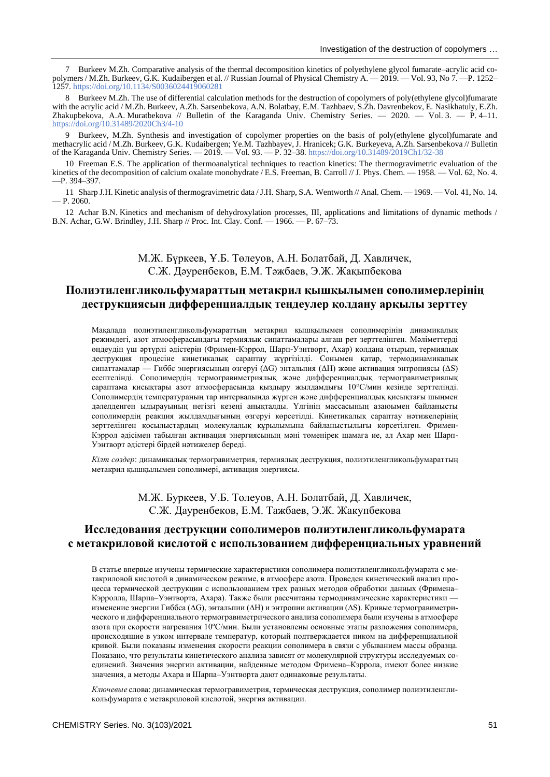7 Burkeev M.Zh. Comparative analysis of the thermal decomposition kinetics of polyethylene glycol fumarate–acrylic acid copolymers / M.Zh. Burkeev, G.K. Kudaibergen et al. // Russian Journal of Physical Chemistry A. — 2019. — Vol. 93, No 7. —P. 1252– 1257. <https://doi.org/10.1134/S0036024419060281>

8 Burkeev M.Zh. The use of differential calculation methods for the destruction of copolymers of poly(ethylene glycol)fumarate with the acrylic acid / M.Zh. Burkeev, A.Zh. Sarsenbekova, A.N. Bolatbay, E.M. Tazhbaev, S.Zh. Davrenbekov, E. Nasikhatuly, E.Zh. Zhakupbekova, A.A. Muratbekova // Bulletin of the Karaganda Univ. Chemistry Series. — 2020. — Vol. 3. — P. 4–11. <https://doi.org/10.31489/2020Ch3/4-10>

9 Burkeev, M.Zh. Synthesis and investigation of copolymer properties on the basis of poly(ethylene glycol)fumarate and methacrylic acid / M.Zh. Burkeev, G.K. Kudaibergen; Ye.M. Tazhbayev, J. Hranicek; G.K. Burkeyeva, A.Zh. Sarsenbekova // Bulletin of the Karaganda Univ. Chemistry Series. — 2019. — Vol. 93. — P. 32–38. <https://doi.org/10.31489/2019Ch1/32-38>

10 Freeman E.S. The application of thermoanalytical techniques to reaction kinetics: The thermogravimetric evaluation of the kinetics of the decomposition of calcium oxalate monohydrate / E.S. Freeman, B. Carroll // J. Phys. Chem. — 1958. — Vol. 62, No. 4. —P. 394–397.

11 Sharp J.H. Kinetic analysis of thermogravimetric data / J.H. Sharp, S.A. Wentworth // Anal. Chem. — 1969. — Vol. 41, No. 14.  $- P. 2060.$ 

12 Achar B.N. Kinetics and mechanism of dehydroxylation processes, III, applications and limitations of dynamic methods / B.N. Achar, G.W. Brindley, J.H. Sharp // Proc. Int. Clay. Conf. — 1966. — P. 67–73.

## М.Ж. Бүркеев, Ұ.Б. Төлеуов, А.Н. Болатбай, Д. Хавличек, С.Ж. Дәуренбеков, Е.М. Тәжбаев, Э.Ж. Жақыпбекова

# **Полиэтиленгликольфумараттың метакрил қышқылымен сополимерлерінің деструкциясын дифференциалдық теңдеулер қолдану арқылы зерттеу**

Мақалада полиэтиленгликольфумараттың метакрил қышқылымен сополимерінің динамикалық режимдегі, азот атмосферасындағы термиялық сипаттамалары алғаш рет зерттелінген. Мәліметтерді өңдеудің үш әртүрлі әдістерін (Фримен-Кэррол, Шарп-Уэнтворт, Ахар) қолдана отырып, термиялық деструкция процесіне кинетикалық сараптау жүргізілді. Сонымен қатар, термодинамикалық сипаттамалар — Гиббс энергиясының өзгеруі (ΔG) энтальпия (ΔН) және активация энтропиясы (ΔS) есептелінді. Сополимердің термогравиметриялық және дифференциалдық термогравиметриялық сараптама қисықтары азот атмосферасында қыздыру жылдамдығы 10°С/мин кезінде зерттелінді. Сополимердің температураның тар интервалында жүрген және дифференциалдық қисықтағы шыңмен дәлелденген ыдырауының негізгі кезеңі анықталды. Үлгінің массасының азаюымен байланысты сополимердің реакция жылдамдығының өзгеруі көрсетілді. Кинетикалық сараптау нәтижелерінің зерттелінген қосылыстардың молекулалық құрылымына байланыстылығы көрсетілген. Фримен-Кэррол әдісімен табылған активация энергиясының мәні төменірек шамаға ие, ал Ахар мен Шарп-Уэнтворт әдістері бірдей нәтижелер береді.

*Кілт сөздер*: динамикалық термогравиметрия, термиялық деструкция, полиэтиленгликольфумараттың метакрил қышқылымен сополимері, активация энергиясы.

### М.Ж. Буркеев, У.Б. Толеуов, А.Н. Болатбай, Д. Хавличек, С.Ж. Дауренбеков, Е.М. Тажбаев, Э.Ж. Жакупбекова

# **Исследования деструкции сополимеров полиэтиленгликольфумарата с метакриловой кислотой с использованием дифференциальных уравнений**

В статье впервые изучены термические характеристики сополимера полиэтиленгликольфумарата с метакриловой кислотой в динамическом режиме, в атмосфере азота. Проведен кинетический анализ процесса термической деструкции с использованием трех разных методов обработки данных (Фримена– Кэрролла, Шарпа–Уэнтворта, Ахара). Также были рассчитаны термодинамические характеристики изменение энергии Гиббса (∆G), энтальпии (∆Н) и энтропии активации (∆S). Кривые термогравиметрического и дифференциального термогравиметрического анализа сополимера были изучены в атмосфере азота при скорости нагревания 10ºС/мин. Были установлены основные этапы разложения сополимера, происходящие в узком интервале температур, который подтверждается пиком на дифференциальной кривой. Были показаны изменения скорости реакции сополимера в связи с убыванием массы образца. Показано, что результаты кинетического анализа зависят от молекулярной структуры исследуемых соединений. Значения энергии активации, найденные методом Фримена–Кэррола, имеют более низкие значения, а методы Ахара и Шарпа–Уэнтворта дают одинаковые результаты.

*Ключевые* слова: динамическая термогравиметрия, термическая деструкция, сополимер полиэтиленгликольфумарата с метакриловой кислотой, энергия активации.